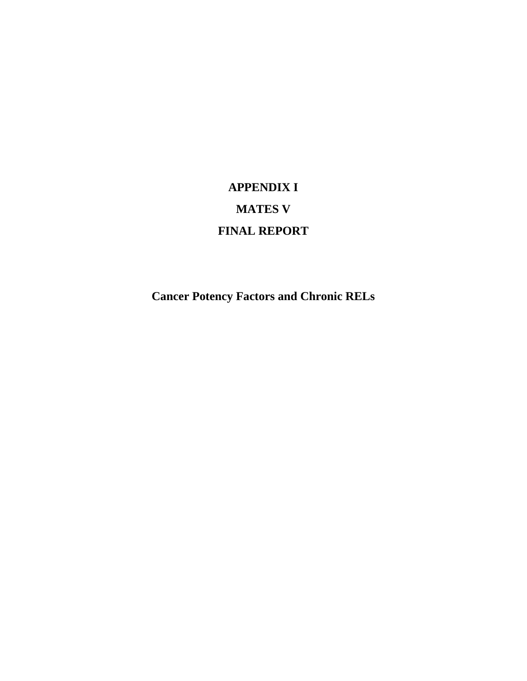## **APPENDIX I MATES V FINAL REPORT**

**Cancer Potency Factors and Chronic RELs**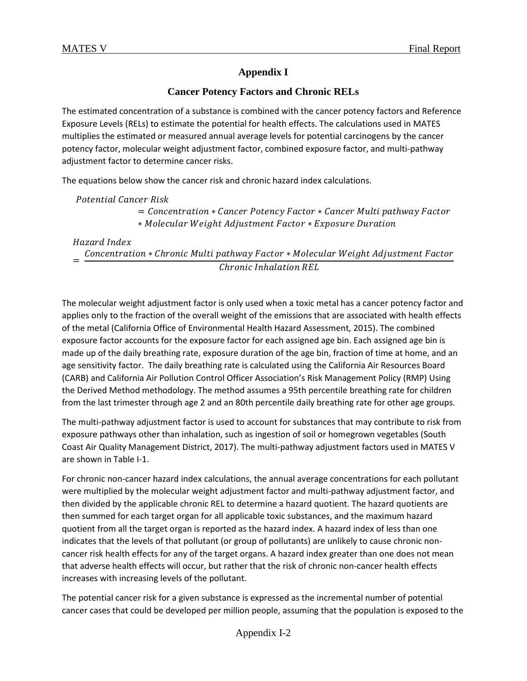## **Appendix I**

## **Cancer Potency Factors and Chronic RELs**

The estimated concentration of a substance is combined with the cancer potency factors and Reference Exposure Levels (RELs) to estimate the potential for health effects. The calculations used in MATES multiplies the estimated or measured annual average levels for potential carcinogens by the cancer potency factor, molecular weight adjustment factor, combined exposure factor, and multi-pathway adjustment factor to determine cancer risks.

The equations below show the cancer risk and chronic hazard index calculations.

Potential Cancer Risk  $=$  Concentration  $*$  Cancer Potency Factor  $*$  Cancer Multi pathway Factor ∗ Molecular Weight Adjustment Factor \* Exposure Duration

Hazard Index Concentration \* Chronic Multi pathway Factor \* Molecular Weight Adjustment Factor Chronic Inhalation REL

The molecular weight adjustment factor is only used when a toxic metal has a cancer potency factor and applies only to the fraction of the overall weight of the emissions that are associated with health effects of the metal (California Office of Environmental Health Hazard Assessment, 2015). The combined exposure factor accounts for the exposure factor for each assigned age bin. Each assigned age bin is made up of the daily breathing rate, exposure duration of the age bin, fraction of time at home, and an age sensitivity factor. The daily breathing rate is calculated using the California Air Resources Board (CARB) and California Air Pollution Control Officer Association's Risk Management Policy (RMP) Using the Derived Method methodology. The method assumes a 95th percentile breathing rate for children from the last trimester through age 2 and an 80th percentile daily breathing rate for other age groups.

The multi-pathway adjustment factor is used to account for substances that may contribute to risk from exposure pathways other than inhalation, such as ingestion of soil or homegrown vegetables (South Coast Air Quality Management District, 2017). The multi-pathway adjustment factors used in MATES V are shown in Table I-1.

For chronic non-cancer hazard index calculations, the annual average concentrations for each pollutant were multiplied by the molecular weight adjustment factor and multi-pathway adjustment factor, and then divided by the applicable chronic REL to determine a hazard quotient. The hazard quotients are then summed for each target organ for all applicable toxic substances, and the maximum hazard quotient from all the target organ is reported as the hazard index. A hazard index of less than one indicates that the levels of that pollutant (or group of pollutants) are unlikely to cause chronic noncancer risk health effects for any of the target organs. A hazard index greater than one does not mean that adverse health effects will occur, but rather that the risk of chronic non-cancer health effects increases with increasing levels of the pollutant.

The potential cancer risk for a given substance is expressed as the incremental number of potential cancer cases that could be developed per million people, assuming that the population is exposed to the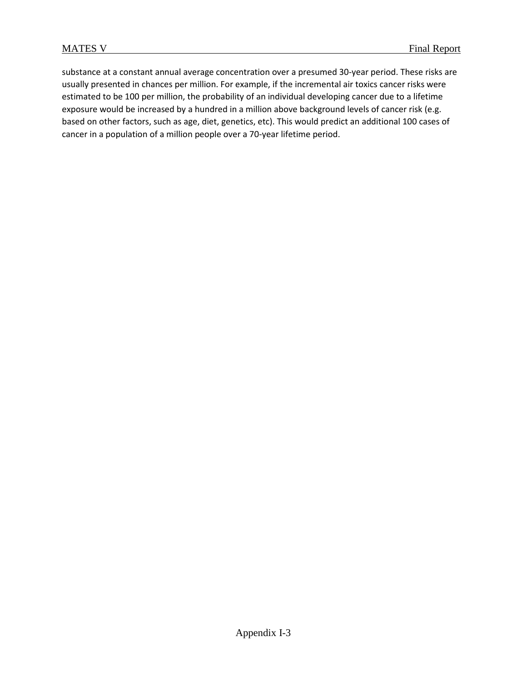substance at a constant annual average concentration over a presumed 30-year period. These risks are usually presented in chances per million. For example, if the incremental air toxics cancer risks were estimated to be 100 per million, the probability of an individual developing cancer due to a lifetime exposure would be increased by a hundred in a million above background levels of cancer risk (e.g. based on other factors, such as age, diet, genetics, etc). This would predict an additional 100 cases of cancer in a population of a million people over a 70-year lifetime period.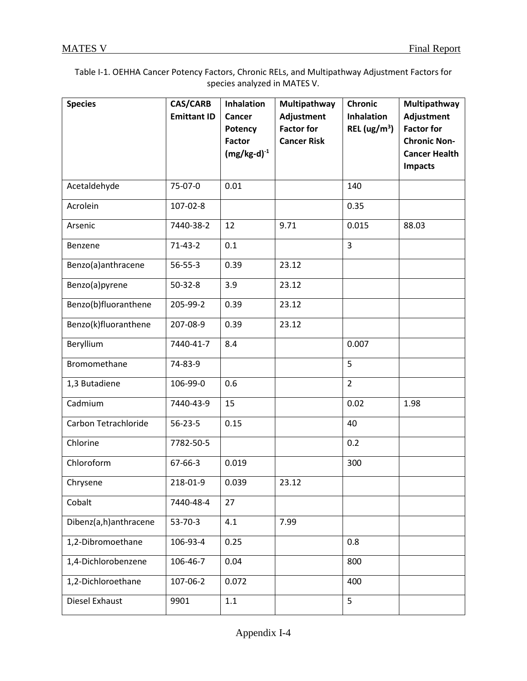| Table I-1. OEHHA Cancer Potency Factors, Chronic RELs, and Multipathway Adjustment Factors for |
|------------------------------------------------------------------------------------------------|
| species analyzed in MATES V.                                                                   |

| <b>Species</b>        | <b>CAS/CARB</b><br><b>Emittant ID</b> | <b>Inhalation</b><br>Cancer<br><b>Potency</b><br><b>Factor</b><br>$(mg/kg-d)^{-1}$ | Multipathway<br>Adjustment<br><b>Factor for</b><br><b>Cancer Risk</b> | <b>Chronic</b><br><b>Inhalation</b><br>REL $(ug/m3)$ | Multipathway<br>Adjustment<br><b>Factor for</b><br><b>Chronic Non-</b><br><b>Cancer Health</b><br><b>Impacts</b> |
|-----------------------|---------------------------------------|------------------------------------------------------------------------------------|-----------------------------------------------------------------------|------------------------------------------------------|------------------------------------------------------------------------------------------------------------------|
| Acetaldehyde          | 75-07-0                               | 0.01                                                                               |                                                                       | 140                                                  |                                                                                                                  |
| Acrolein              | 107-02-8                              |                                                                                    |                                                                       | 0.35                                                 |                                                                                                                  |
| Arsenic               | 7440-38-2                             | 12                                                                                 | 9.71                                                                  | 0.015                                                | 88.03                                                                                                            |
| Benzene               | $71 - 43 - 2$                         | 0.1                                                                                |                                                                       | 3                                                    |                                                                                                                  |
| Benzo(a)anthracene    | 56-55-3                               | 0.39                                                                               | 23.12                                                                 |                                                      |                                                                                                                  |
| Benzo(a)pyrene        | 50-32-8                               | 3.9                                                                                | 23.12                                                                 |                                                      |                                                                                                                  |
| Benzo(b)fluoranthene  | 205-99-2                              | 0.39                                                                               | 23.12                                                                 |                                                      |                                                                                                                  |
| Benzo(k)fluoranthene  | 207-08-9                              | 0.39                                                                               | 23.12                                                                 |                                                      |                                                                                                                  |
| Beryllium             | 7440-41-7                             | 8.4                                                                                |                                                                       | 0.007                                                |                                                                                                                  |
| Bromomethane          | 74-83-9                               |                                                                                    |                                                                       | 5                                                    |                                                                                                                  |
| 1,3 Butadiene         | 106-99-0                              | 0.6                                                                                |                                                                       | $\overline{2}$                                       |                                                                                                                  |
| Cadmium               | 7440-43-9                             | 15                                                                                 |                                                                       | 0.02                                                 | 1.98                                                                                                             |
| Carbon Tetrachloride  | $56 - 23 - 5$                         | 0.15                                                                               |                                                                       | 40                                                   |                                                                                                                  |
| Chlorine              | 7782-50-5                             |                                                                                    |                                                                       | 0.2                                                  |                                                                                                                  |
| Chloroform            | 67-66-3                               | 0.019                                                                              |                                                                       | 300                                                  |                                                                                                                  |
| Chrysene              | 218-01-9                              | 0.039                                                                              | 23.12                                                                 |                                                      |                                                                                                                  |
| Cobalt                | 7440-48-4                             | 27                                                                                 |                                                                       |                                                      |                                                                                                                  |
| Dibenz(a,h)anthracene | 53-70-3                               | 4.1                                                                                | 7.99                                                                  |                                                      |                                                                                                                  |
| 1,2-Dibromoethane     | 106-93-4                              | 0.25                                                                               |                                                                       | 0.8                                                  |                                                                                                                  |
| 1,4-Dichlorobenzene   | 106-46-7                              | 0.04                                                                               |                                                                       | 800                                                  |                                                                                                                  |
| 1,2-Dichloroethane    | 107-06-2                              | 0.072                                                                              |                                                                       | 400                                                  |                                                                                                                  |
| Diesel Exhaust        | 9901                                  | 1.1                                                                                |                                                                       | 5                                                    |                                                                                                                  |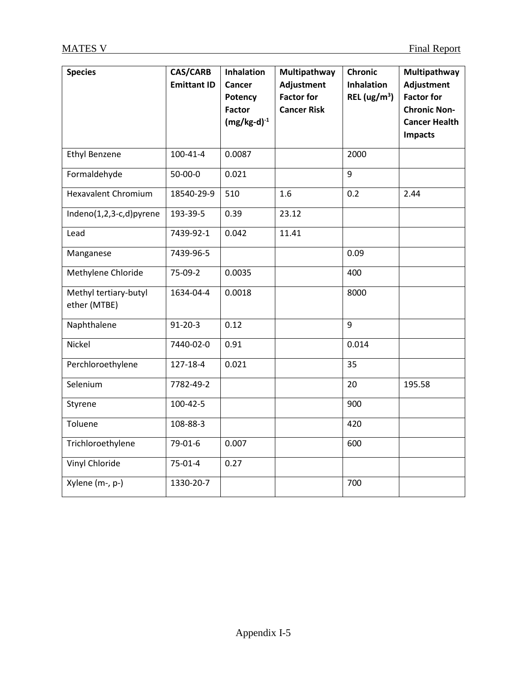| <b>Species</b>                        | <b>CAS/CARB</b><br><b>Emittant ID</b> | <b>Inhalation</b><br>Cancer<br>Potency<br><b>Factor</b><br>$(mg/kg-d)^{-1}$ | Multipathway<br>Adjustment<br><b>Factor for</b><br><b>Cancer Risk</b> | <b>Chronic</b><br><b>Inhalation</b><br>REL $(ug/m3)$ | Multipathway<br>Adjustment<br><b>Factor for</b><br><b>Chronic Non-</b><br><b>Cancer Health</b><br><b>Impacts</b> |
|---------------------------------------|---------------------------------------|-----------------------------------------------------------------------------|-----------------------------------------------------------------------|------------------------------------------------------|------------------------------------------------------------------------------------------------------------------|
| <b>Ethyl Benzene</b>                  | $100 - 41 - 4$                        | 0.0087                                                                      |                                                                       | 2000                                                 |                                                                                                                  |
| Formaldehyde                          | 50-00-0                               | 0.021                                                                       |                                                                       | 9                                                    |                                                                                                                  |
| <b>Hexavalent Chromium</b>            | 18540-29-9                            | 510                                                                         | 1.6                                                                   | 0.2                                                  | 2.44                                                                                                             |
| Indeno(1,2,3-c,d)pyrene               | 193-39-5                              | 0.39                                                                        | 23.12                                                                 |                                                      |                                                                                                                  |
| Lead                                  | 7439-92-1                             | 0.042                                                                       | 11.41                                                                 |                                                      |                                                                                                                  |
| Manganese                             | 7439-96-5                             |                                                                             |                                                                       | 0.09                                                 |                                                                                                                  |
| Methylene Chloride                    | 75-09-2                               | 0.0035                                                                      |                                                                       | 400                                                  |                                                                                                                  |
| Methyl tertiary-butyl<br>ether (MTBE) | 1634-04-4                             | 0.0018                                                                      |                                                                       | 8000                                                 |                                                                                                                  |
| Naphthalene                           | $91 - 20 - 3$                         | 0.12                                                                        |                                                                       | 9                                                    |                                                                                                                  |
| Nickel                                | 7440-02-0                             | 0.91                                                                        |                                                                       | 0.014                                                |                                                                                                                  |
| Perchloroethylene                     | 127-18-4                              | 0.021                                                                       |                                                                       | 35                                                   |                                                                                                                  |
| Selenium                              | 7782-49-2                             |                                                                             |                                                                       | 20                                                   | 195.58                                                                                                           |
| Styrene                               | 100-42-5                              |                                                                             |                                                                       | 900                                                  |                                                                                                                  |
| Toluene                               | 108-88-3                              |                                                                             |                                                                       | 420                                                  |                                                                                                                  |
| Trichloroethylene                     | 79-01-6                               | 0.007                                                                       |                                                                       | 600                                                  |                                                                                                                  |
| Vinyl Chloride                        | 75-01-4                               | 0.27                                                                        |                                                                       |                                                      |                                                                                                                  |
| Xylene (m-, p-)                       | 1330-20-7                             |                                                                             |                                                                       | 700                                                  |                                                                                                                  |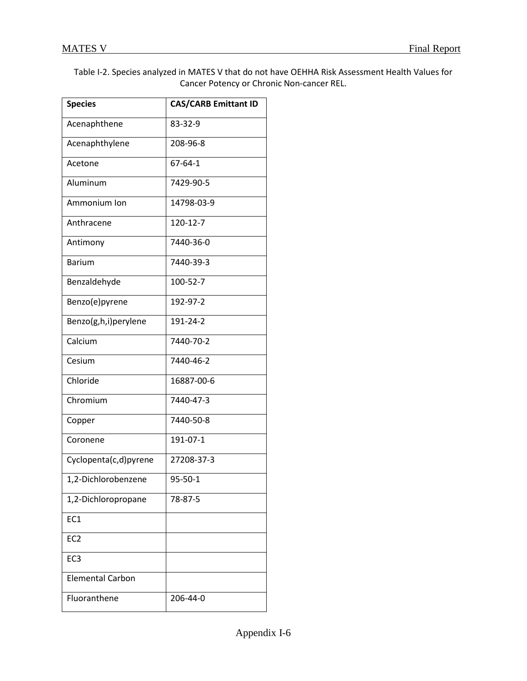| Table I-2. Species analyzed in MATES V that do not have OEHHA Risk Assessment Health Values for |
|-------------------------------------------------------------------------------------------------|
| Cancer Potency or Chronic Non-cancer REL.                                                       |

| <b>Species</b>          | <b>CAS/CARB Emittant ID</b> |
|-------------------------|-----------------------------|
| Acenaphthene            | 83-32-9                     |
| Acenaphthylene          | 208-96-8                    |
| Acetone                 | $67 - 64 - 1$               |
| Aluminum                | 7429-90-5                   |
| Ammonium Ion            | 14798-03-9                  |
| Anthracene              | 120-12-7                    |
| Antimony                | 7440-36-0                   |
| <b>Barium</b>           | 7440-39-3                   |
| Benzaldehyde            | 100-52-7                    |
| Benzo(e)pyrene          | 192-97-2                    |
| Benzo(g,h,i)perylene    | 191-24-2                    |
| Calcium                 | 7440-70-2                   |
| Cesium                  | 7440-46-2                   |
| Chloride                | 16887-00-6                  |
| Chromium                | 7440-47-3                   |
| Copper                  | 7440-50-8                   |
| Coronene                | 191-07-1                    |
| Cyclopenta(c,d)pyrene   | 27208-37-3                  |
| 1,2-Dichlorobenzene     | 95-50-1                     |
| 1,2-Dichloropropane     | 78-87-5                     |
| EC <sub>1</sub>         |                             |
| EC <sub>2</sub>         |                             |
| EC <sub>3</sub>         |                             |
| <b>Elemental Carbon</b> |                             |
| Fluoranthene            | 206-44-0                    |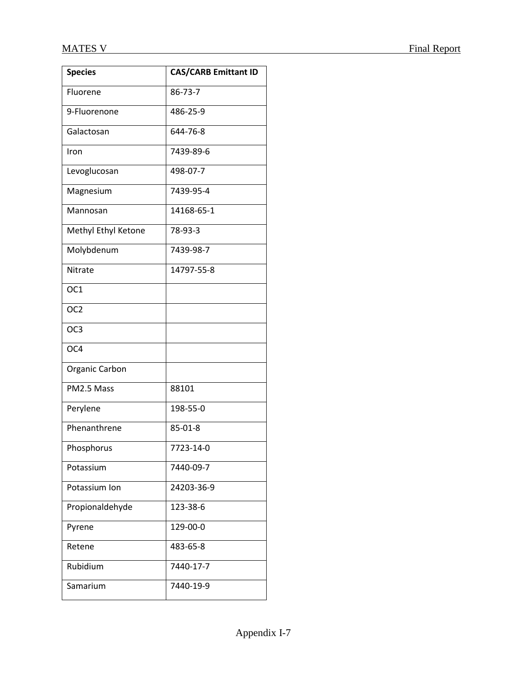| <b>Species</b>      | <b>CAS/CARB Emittant ID</b> |
|---------------------|-----------------------------|
| Fluorene            | 86-73-7                     |
| 9-Fluorenone        | 486-25-9                    |
| Galactosan          | 644-76-8                    |
| Iron                | 7439-89-6                   |
| Levoglucosan        | 498-07-7                    |
| Magnesium           | 7439-95-4                   |
| Mannosan            | 14168-65-1                  |
| Methyl Ethyl Ketone | 78-93-3                     |
| Molybdenum          | 7439-98-7                   |
| Nitrate             | 14797-55-8                  |
| OC <sub>1</sub>     |                             |
| OC <sub>2</sub>     |                             |
| OC <sub>3</sub>     |                             |
| OC4                 |                             |
| Organic Carbon      |                             |
| PM2.5 Mass          | 88101                       |
| Perylene            | 198-55-0                    |
| Phenanthrene        | 85-01-8                     |
| Phosphorus          | 7723-14-0                   |
| Potassium           | 7440-09-7                   |
| Potassium Ion       | 24203-36-9                  |
| Propionaldehyde     | 123-38-6                    |
| Pyrene              | 129-00-0                    |
| Retene              | 483-65-8                    |
| Rubidium            | 7440-17-7                   |
| Samarium            | 7440-19-9                   |